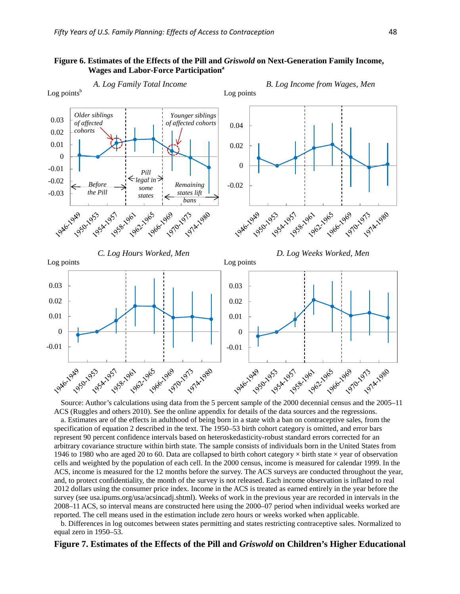

### **Figure 6. Estimates of the Effects of the Pill and** *Griswold* **on Next-Generation Family Income, Wages and Labor-Force Participation**<sup>a</sup>

Source: Author's calculations using data from the 5 percent sample of the 2000 decennial census and the 2005–11 ACS (Ruggles and others 2010). See the online appendix for details of the data sources and the regressions.

a. Estimates are of the effects in adulthood of being born in a state with a ban on contraceptive sales, from the specification of equation 2 described in the text. The 1950–53 birth cohort category is omitted, and error bars represent 90 percent confidence intervals based on heteroskedasticity-robust standard errors corrected for an arbitrary covariance structure within birth state. The sample consists of individuals born in the United States from 1946 to 1980 who are aged 20 to 60. Data are collapsed to birth cohort category  $\times$  birth state  $\times$  year of observation cells and weighted by the population of each cell. In the 2000 census, income is measured for calendar 1999. In the ACS, income is measured for the 12 months before the survey. The ACS surveys are conducted throughout the year, and, to protect confidentiality, the month of the survey is not released. Each income observation is inflated to real 2012 dollars using the consumer price index. Income in the ACS is treated as earned entirely in the year before the survey (see usa.ipums.org/usa/acsincadj.shtml). Weeks of work in the previous year are recorded in intervals in the 2008–11 ACS, so interval means are constructed here using the 2000–07 period when individual weeks worked are reported. The cell means used in the estimation include zero hours or weeks worked when applicable.

b. Differences in log outcomes between states permitting and states restricting contraceptive sales. Normalized to equal zero in 1950–53.

#### **Figure 7. Estimates of the Effects of the Pill and** *Griswold* **on Children's Higher Educational**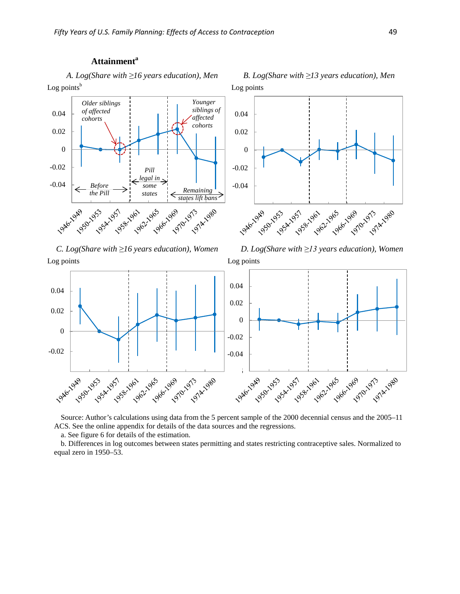# Attainment<sup>a</sup>

Log points<sup>b</sup>







*C. Log(Share with ≥16 years education), Women D. Log(Share with ≥13 years education), Women* 

**LONGLON** 

1950-1953

1953-1957

-0.02

0

0.02

0.04



Source: Author's calculations using data from the 5 percent sample of the 2000 decennial census and the 2005–11 ACS. See the online appendix for details of the data sources and the regressions.

a. See figure 6 for details of the estimation.

053-1961

b. Differences in log outcomes between states permitting and states restricting contraceptive sales. Normalized to equal zero in 1950–53.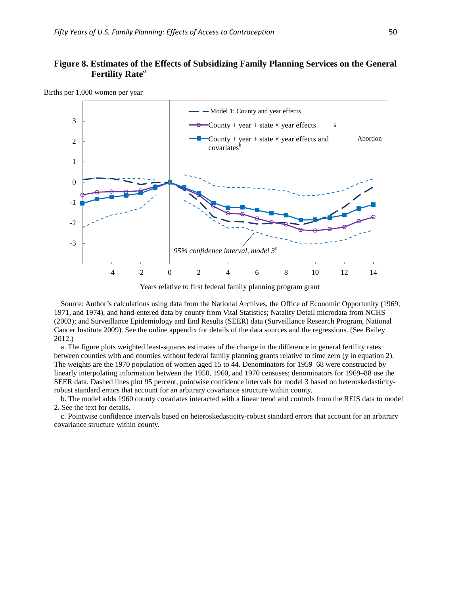# **Figure 8. Estimates of the Effects of Subsidizing Family Planning Services on the General Fertility Rate<sup>a</sup>**



Births per 1,000 women per year

Years relative to first federal family planning program grant

Source: Author's calculations using data from the National Archives, the Office of Economic Opportunity (1969, 1971, and 1974), and hand-entered data by county from Vital Statistics; Natality Detail microdata from NCHS (2003); and Surveillance Epidemiology and End Results (SEER) data (Surveillance Research Program, National Cancer Institute 2009). See the online appendix for details of the data sources and the regressions. (See Bailey 2012.)

a. The figure plots weighted least-squares estimates of the change in the difference in general fertility rates between counties with and counties without federal family planning grants relative to time zero (y in equation 2). The weights are the 1970 population of women aged 15 to 44. Denominators for 1959–68 were constructed by linearly interpolating information between the 1950, 1960, and 1970 censuses; denominators for 1969–88 use the SEER data. Dashed lines plot 95 percent, pointwise confidence intervals for model 3 based on heteroskedasticityrobust standard errors that account for an arbitrary covariance structure within county.

b. The model adds 1960 county covariates interacted with a linear trend and controls from the REIS data to model 2. See the text for details.

c. Pointwise confidence intervals based on heteroskedasticity-robust standard errors that account for an arbitrary covariance structure within county.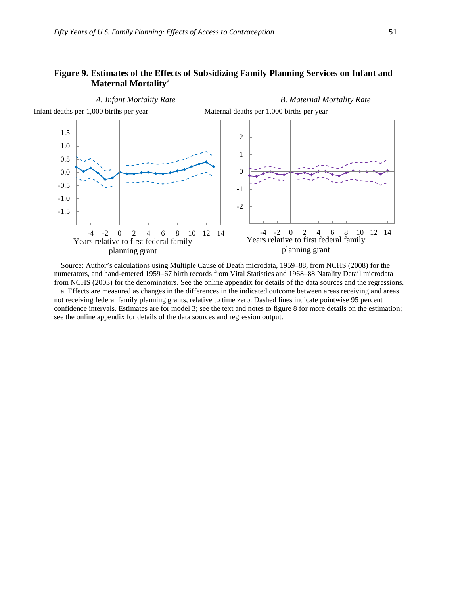## **Figure 9. Estimates of the Effects of Subsidizing Family Planning Services on Infant and Maternal Mortalitya**



Source: Author's calculations using Multiple Cause of Death microdata, 1959–88, from NCHS (2008) for the numerators, and hand-entered 1959–67 birth records from Vital Statistics and 1968–88 Natality Detail microdata from NCHS (2003) for the denominators. See the online appendix for details of the data sources and the regressions. a. Effects are measured as changes in the differences in the indicated outcome between areas receiving and areas not receiving federal family planning grants, relative to time zero. Dashed lines indicate pointwise 95 percent confidence intervals. Estimates are for model 3; see the text and notes to figure 8 for more details on the estimation; see the online appendix for details of the data sources and regression output.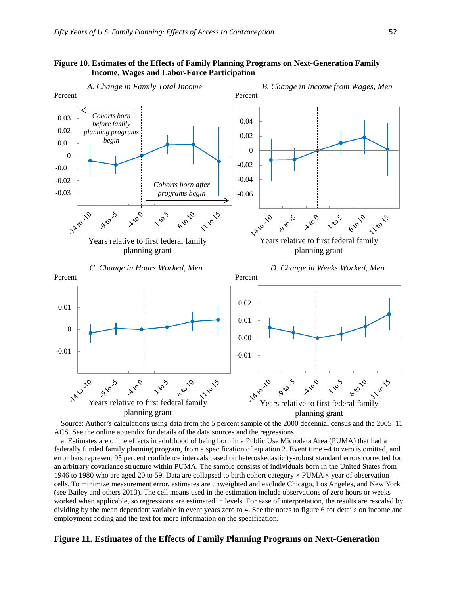### **Figure 10. Estimates of the Effects of Family Planning Programs on Next-Generation Family Income, Wages and Labor-Force Participation**



Source: Author's calculations using data from the 5 percent sample of the 2000 decennial census and the 2005–11 ACS. See the online appendix for details of the data sources and the regressions.

a. Estimates are of the effects in adulthood of being born in a Public Use Microdata Area (PUMA) that had a federally funded family planning program, from a specification of equation 2. Event time –4 to zero is omitted, and error bars represent 95 percent confidence intervals based on heteroskedasticity-robust standard errors corrected for an arbitrary covariance structure within PUMA. The sample consists of individuals born in the United States from 1946 to 1980 who are aged 20 to 59. Data are collapsed to birth cohort category  $\times$  PUMA  $\times$  year of observation cells. To minimize measurement error, estimates are unweighted and exclude Chicago, Los Angeles, and New York (see Bailey and others 2013). The cell means used in the estimation include observations of zero hours or weeks worked when applicable, so regressions are estimated in levels. For ease of interpretation, the results are rescaled by dividing by the mean dependent variable in event years zero to 4. See the notes to figure 6 for details on income and employment coding and the text for more information on the specification.

#### **Figure 11. Estimates of the Effects of Family Planning Programs on Next-Generation**